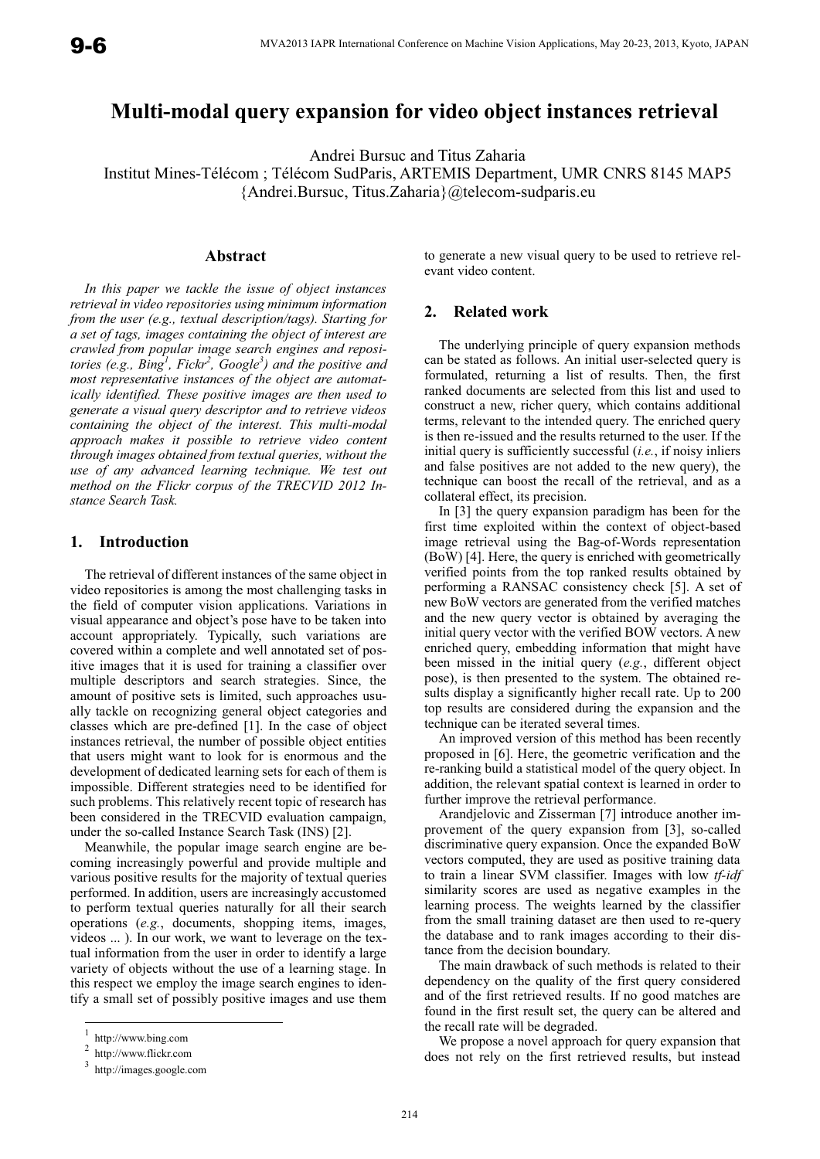# **Multi-modal query expansion for video object instances retrieval**

Andrei Bursuc and Titus Zaharia

Institut Mines-Télécom ; Télécom SudParis, ARTEMIS Department, UMR CNRS 8145 MAP5 {Andrei.Bursuc, Titus.Zaharia}@telecom-sudparis.eu

## **Abstract**

*In this paper we tackle the issue of object instances retrieval in video repositories using minimum information from the user (e.g., textual description/tags). Starting for a set of tags, images containing the object of interest are crawled from popular image search engines and repositories (e.g., Bing<sup>1</sup> , Fickr<sup>2</sup> , Google<sup>3</sup> ) and the positive and most representative instances of the object are automatically identified. These positive images are then used to generate a visual query descriptor and to retrieve videos containing the object of the interest. This multi-modal approach makes it possible to retrieve video content through images obtained from textual queries, without the use of any advanced learning technique. We test out method on the Flickr corpus of the TRECVID 2012 Instance Search Task.* 

## **1. Introduction**

The retrieval of different instances of the same object in video repositories is among the most challenging tasks in the field of computer vision applications. Variations in visual appearance and object's pose have to be taken into account appropriately. Typically, such variations are covered within a complete and well annotated set of positive images that it is used for training a classifier over multiple descriptors and search strategies. Since, the amount of positive sets is limited, such approaches usually tackle on recognizing general object categories and classes which are pre-defined [1]. In the case of object instances retrieval, the number of possible object entities that users might want to look for is enormous and the development of dedicated learning sets for each of them is impossible. Different strategies need to be identified for such problems. This relatively recent topic of research has been considered in the TRECVID evaluation campaign, under the so-called Instance Search Task (INS) [2].

Meanwhile, the popular image search engine are becoming increasingly powerful and provide multiple and various positive results for the majority of textual queries performed. In addition, users are increasingly accustomed to perform textual queries naturally for all their search operations (*e.g.*, documents, shopping items, images, videos ... ). In our work, we want to leverage on the textual information from the user in order to identify a large variety of objects without the use of a learning stage. In this respect we employ the image search engines to identify a small set of possibly positive images and use them

-

to generate a new visual query to be used to retrieve relevant video content.

#### **2. Related work**

The underlying principle of query expansion methods can be stated as follows. An initial user-selected query is formulated, returning a list of results. Then, the first ranked documents are selected from this list and used to construct a new, richer query, which contains additional terms, relevant to the intended query. The enriched query is then re-issued and the results returned to the user. If the initial query is sufficiently successful (*i.e.*, if noisy inliers and false positives are not added to the new query), the technique can boost the recall of the retrieval, and as a collateral effect, its precision.

In [3] the query expansion paradigm has been for the first time exploited within the context of object-based image retrieval using the Bag-of-Words representation (BoW) [4]. Here, the query is enriched with geometrically verified points from the top ranked results obtained by performing a RANSAC consistency check [5]. A set of new BoW vectors are generated from the verified matches and the new query vector is obtained by averaging the initial query vector with the verified BOW vectors. A new enriched query, embedding information that might have been missed in the initial query (*e.g.*, different object pose), is then presented to the system. The obtained results display a significantly higher recall rate. Up to 200 top results are considered during the expansion and the technique can be iterated several times.

An improved version of this method has been recently proposed in [6]. Here, the geometric verification and the re-ranking build a statistical model of the query object. In addition, the relevant spatial context is learned in order to further improve the retrieval performance.

Arandjelovic and Zisserman [7] introduce another improvement of the query expansion from [3], so-called discriminative query expansion. Once the expanded BoW vectors computed, they are used as positive training data to train a linear SVM classifier. Images with low *tf-idf* similarity scores are used as negative examples in the learning process. The weights learned by the classifier from the small training dataset are then used to re-query the database and to rank images according to their distance from the decision boundary.

The main drawback of such methods is related to their dependency on the quality of the first query considered and of the first retrieved results. If no good matches are found in the first result set, the query can be altered and the recall rate will be degraded.

We propose a novel approach for query expansion that does not rely on the first retrieved results, but instead

 $\frac{1}{2}$  http://www.bing.com

http://www.flickr.com

<sup>3</sup> http://images.google.com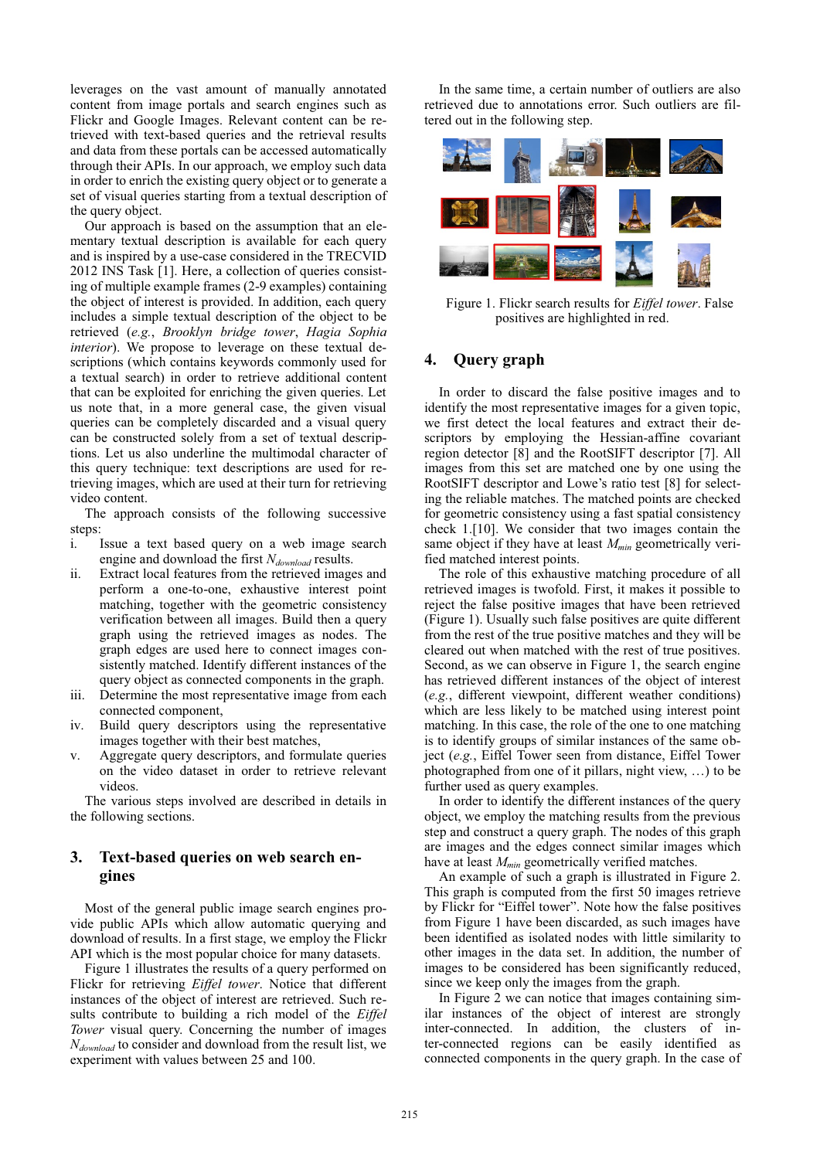leverages on the vast amount of manually annotated content from image portals and search engines such as Flickr and Google Images. Relevant content can be retrieved with text-based queries and the retrieval results and data from these portals can be accessed automatically through their APIs. In our approach, we employ such data in order to enrich the existing query object or to generate a set of visual queries starting from a textual description of the query object.

Our approach is based on the assumption that an elementary textual description is available for each query and is inspired by a use-case considered in the TRECVID 2012 INS Task [1]. Here, a collection of queries consisting of multiple example frames (2-9 examples) containing the object of interest is provided. In addition, each query includes a simple textual description of the object to be retrieved (*e.g.*, *Brooklyn bridge tower*, *Hagia Sophia interior*). We propose to leverage on these textual descriptions (which contains keywords commonly used for a textual search) in order to retrieve additional content that can be exploited for enriching the given queries. Let us note that, in a more general case, the given visual queries can be completely discarded and a visual query can be constructed solely from a set of textual descriptions. Let us also underline the multimodal character of this query technique: text descriptions are used for retrieving images, which are used at their turn for retrieving video content.

The approach consists of the following successive steps:

- i. Issue a text based query on a web image search engine and download the first *Ndownload* results.
- ii. Extract local features from the retrieved images and perform a one-to-one, exhaustive interest point matching, together with the geometric consistency verification between all images. Build then a query graph using the retrieved images as nodes. The graph edges are used here to connect images consistently matched. Identify different instances of the query object as connected components in the graph.
- iii. Determine the most representative image from each connected component,
- iv. Build query descriptors using the representative images together with their best matches,
- v. Aggregate query descriptors, and formulate queries on the video dataset in order to retrieve relevant videos.

The various steps involved are described in details in the following sections.

## **3. Text-based queries on web search engines**

Most of the general public image search engines provide public APIs which allow automatic querying and download of results. In a first stage, we employ the Flickr API which is the most popular choice for many datasets.

Figure 1 illustrates the results of a query performed on Flickr for retrieving *Eiffel tower*. Notice that different instances of the object of interest are retrieved. Such results contribute to building a rich model of the *Eiffel Tower* visual query. Concerning the number of images *Ndownload* to consider and download from the result list, we experiment with values between 25 and 100.

In the same time, a certain number of outliers are also retrieved due to annotations error. Such outliers are filtered out in the following step.



Figure 1. Flickr search results for *Eiffel tower*. False positives are highlighted in red.

#### **4. Query graph**

In order to discard the false positive images and to identify the most representative images for a given topic, we first detect the local features and extract their descriptors by employing the Hessian-affine covariant region detector [8] and the RootSIFT descriptor [7]. All images from this set are matched one by one using the RootSIFT descriptor and Lowe's ratio test [8] for selecting the reliable matches. The matched points are checked for geometric consistency using a fast spatial consistency check 1.[10]. We consider that two images contain the same object if they have at least  $M_{min}$  geometrically verified matched interest points.

The role of this exhaustive matching procedure of all retrieved images is twofold. First, it makes it possible to reject the false positive images that have been retrieved (Figure 1). Usually such false positives are quite different from the rest of the true positive matches and they will be cleared out when matched with the rest of true positives. Second, as we can observe in Figure 1, the search engine has retrieved different instances of the object of interest (*e.g.*, different viewpoint, different weather conditions) which are less likely to be matched using interest point matching. In this case, the role of the one to one matching is to identify groups of similar instances of the same object (*e.g.*, Eiffel Tower seen from distance, Eiffel Tower photographed from one of it pillars, night view, …) to be further used as query examples.

In order to identify the different instances of the query object, we employ the matching results from the previous step and construct a query graph. The nodes of this graph are images and the edges connect similar images which have at least  $M_{min}$  geometrically verified matches.

An example of such a graph is illustrated in Figure 2. This graph is computed from the first 50 images retrieve by Flickr for "Eiffel tower". Note how the false positives from Figure 1 have been discarded, as such images have been identified as isolated nodes with little similarity to other images in the data set. In addition, the number of images to be considered has been significantly reduced, since we keep only the images from the graph.

In Figure 2 we can notice that images containing similar instances of the object of interest are strongly inter-connected. In addition, the clusters of inter-connected regions can be easily identified as connected components in the query graph. In the case of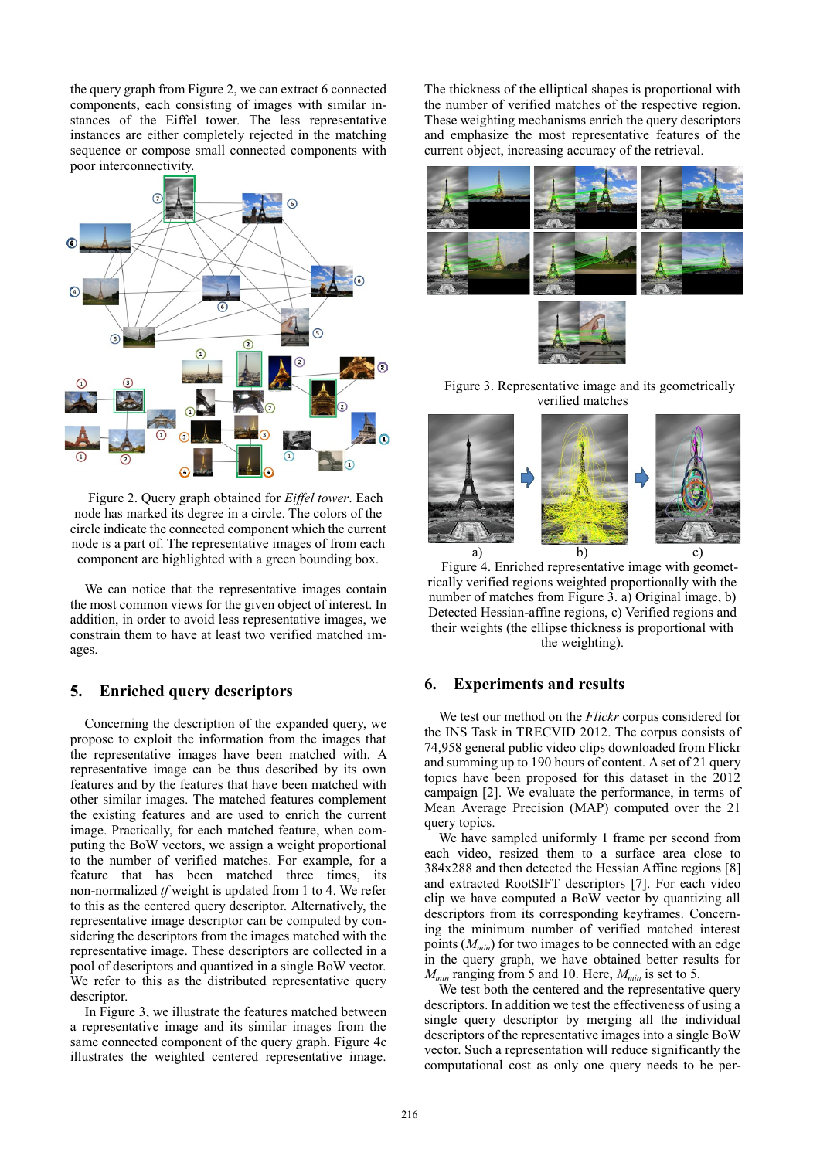the query graph from Figure 2, we can extract 6 connected components, each consisting of images with similar instances of the Eiffel tower. The less representative instances are either completely rejected in the matching sequence or compose small connected components with poor interconnectivity.



Figure 2. Query graph obtained for *Eiffel tower*. Each node has marked its degree in a circle. The colors of the circle indicate the connected component which the current node is a part of. The representative images of from each component are highlighted with a green bounding box.

We can notice that the representative images contain the most common views for the given object of interest. In addition, in order to avoid less representative images, we constrain them to have at least two verified matched images.

#### **5. Enriched query descriptors**

Concerning the description of the expanded query, we propose to exploit the information from the images that the representative images have been matched with. A representative image can be thus described by its own features and by the features that have been matched with other similar images. The matched features complement the existing features and are used to enrich the current image. Practically, for each matched feature, when computing the BoW vectors, we assign a weight proportional to the number of verified matches. For example, for a feature that has been matched three times, its non-normalized *tf* weight is updated from 1 to 4. We refer to this as the centered query descriptor. Alternatively, the representative image descriptor can be computed by considering the descriptors from the images matched with the representative image. These descriptors are collected in a pool of descriptors and quantized in a single BoW vector. We refer to this as the distributed representative query descriptor.

In Figure 3, we illustrate the features matched between a representative image and its similar images from the same connected component of the query graph. Figure 4c illustrates the weighted centered representative image.

The thickness of the elliptical shapes is proportional with the number of verified matches of the respective region. These weighting mechanisms enrich the query descriptors and emphasize the most representative features of the current object, increasing accuracy of the retrieval.





Figure 3. Representative image and its geometrically verified matches



Figure 4. Enriched representative image with geometrically verified regions weighted proportionally with the number of matches from Figure 3. a) Original image, b) Detected Hessian-affine regions, c) Verified regions and their weights (the ellipse thickness is proportional with the weighting).

### **6. Experiments and results**

We test our method on the *Flickr* corpus considered for the INS Task in TRECVID 2012. The corpus consists of 74,958 general public video clips downloaded from Flickr and summing up to 190 hours of content. A set of 21 query topics have been proposed for this dataset in the 2012 campaign [2]. We evaluate the performance, in terms of Mean Average Precision (MAP) computed over the 21 query topics.

We have sampled uniformly 1 frame per second from each video, resized them to a surface area close to 384x288 and then detected the Hessian Affine regions [8] and extracted RootSIFT descriptors [7]. For each video clip we have computed a BoW vector by quantizing all descriptors from its corresponding keyframes. Concerning the minimum number of verified matched interest points (*Mmin*) for two images to be connected with an edge in the query graph, we have obtained better results for  $M_{min}$  ranging from 5 and 10. Here,  $M_{min}$  is set to 5.

We test both the centered and the representative query descriptors. In addition we test the effectiveness of using a single query descriptor by merging all the individual descriptors of the representative images into a single BoW vector. Such a representation will reduce significantly the computational cost as only one query needs to be per-